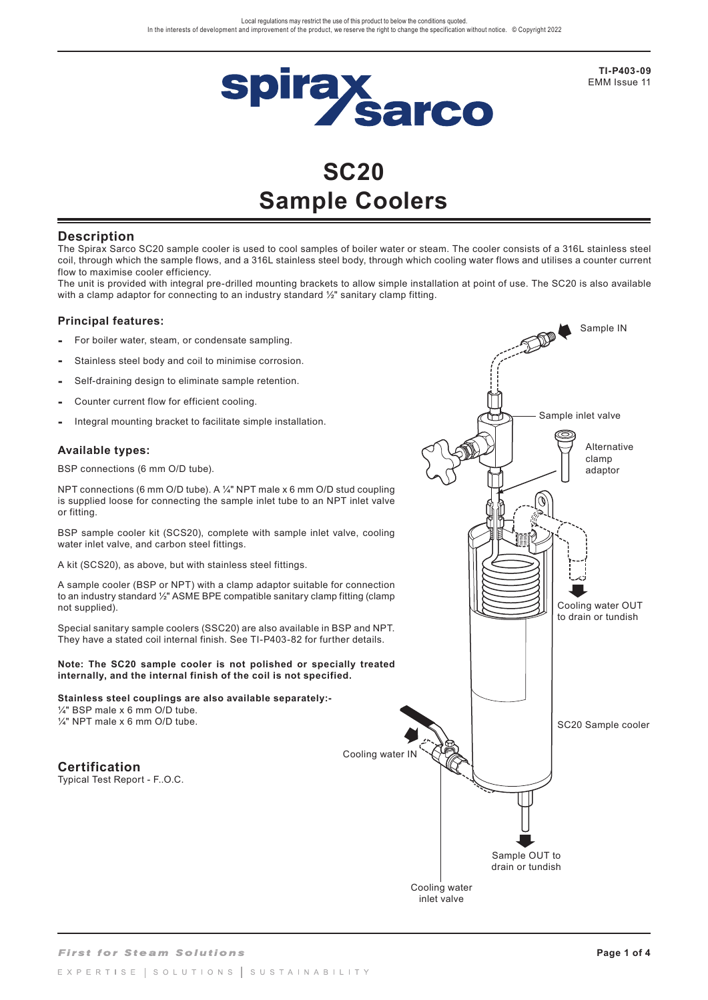

**TI-P403-09**  EMM Issue 11

Sample IN

# **SC20 Sample Coolers**

# **Description**

The Spirax Sarco SC20 sample cooler is used to cool samples of boiler water or steam. The cooler consists of a 316L stainless steel coil, through which the sample flows, and a 316L stainless steel body, through which cooling water flows and utilises a counter current flow to maximise cooler efficiency.

The unit is provided with integral pre-drilled mounting brackets to allow simple installation at point of use. The SC20 is also available with a clamp adaptor for connecting to an industry standard 1/2" sanitary clamp fitting.

## **Principal features:**

- **-** For boiler water, steam, or condensate sampling.
- **-** Stainless steel body and coil to minimise corrosion.
- **-** Self-draining design to eliminate sample retention.
- **-** Counter current flow for efficient cooling.
- **-** Integral mounting bracket to facilitate simple installation.

## **Available types:**

BSP connections (6 mm O/D tube).

NPT connections (6 mm O/D tube). A ¼" NPT male x 6 mm O/D stud coupling is supplied loose for connecting the sample inlet tube to an NPT inlet valve or fitting.

BSP sample cooler kit (SCS20), complete with sample inlet valve, cooling water inlet valve, and carbon steel fittings.

A kit (SCS20), as above, but with stainless steel fittings.

A sample cooler (BSP or NPT) with a clamp adaptor suitable for connection to an industry standard ½" ASME BPE compatible sanitary clamp fitting (clamp not supplied).

Special sanitary sample coolers (SSC20) are also available in BSP and NPT. They have a stated coil internal finish. See TI-P403-82 for further details.

#### **Note: The SC20 sample cooler is not polished or specially treated internally, and the internal finish of the coil is not specified.**

#### **Stainless steel couplings are also available separately:-** ¼" BSP male x 6 mm O/D tube.

¼" NPT male x 6 mm O/D tube.

**Certification** Typical Test Report - F..O.C.

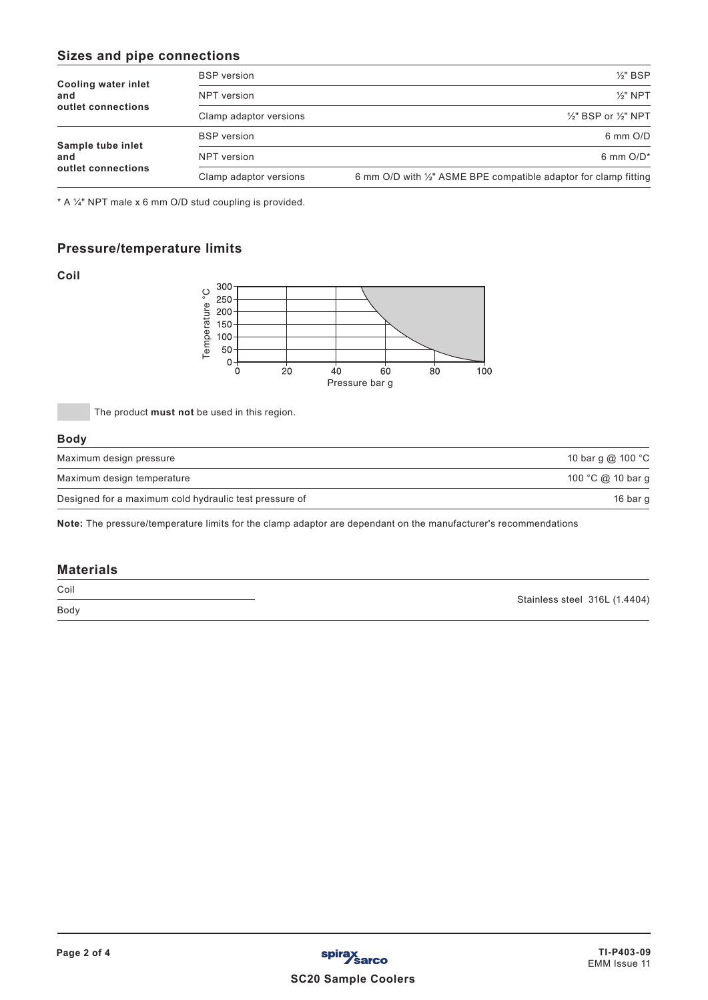# **Sizes and pipe connections**

|                                   | <b>BSP</b> version     | $\frac{1}{2}$ " BSP                                              |
|-----------------------------------|------------------------|------------------------------------------------------------------|
| <b>Cooling water inlet</b><br>and | NPT version            | $\frac{1}{2}$ " NPT                                              |
| outlet connections                | Clamp adaptor versions | $\frac{1}{2}$ " BSP or $\frac{1}{2}$ " NPT                       |
| Sample tube inlet                 | <b>BSP</b> version     | 6 mm O/D                                                         |
| and                               | NPT version            | 6 mm $O/D^*$                                                     |
| outlet connections                | Clamp adaptor versions | 6 mm O/D with 1/2" ASME BPE compatible adaptor for clamp fitting |

\* A ¼" NPT male x 6 mm O/D stud coupling is provided.

# **Pressure/temperature limits**

**Coil**



The product **must not** be used in this region.

#### **Body**

| Maximum design pressure                                | 10 bar q @ 100 °C |
|--------------------------------------------------------|-------------------|
| Maximum design temperature                             | 100 °C @ 10 bar g |
| Designed for a maximum cold hydraulic test pressure of | 16 bar g          |

**Note:** The pressure/temperature limits for the clamp adaptor are dependant on the manufacturer's recommendations

## **Materials**

Coil Body

Stainless steel 316L (1.4404)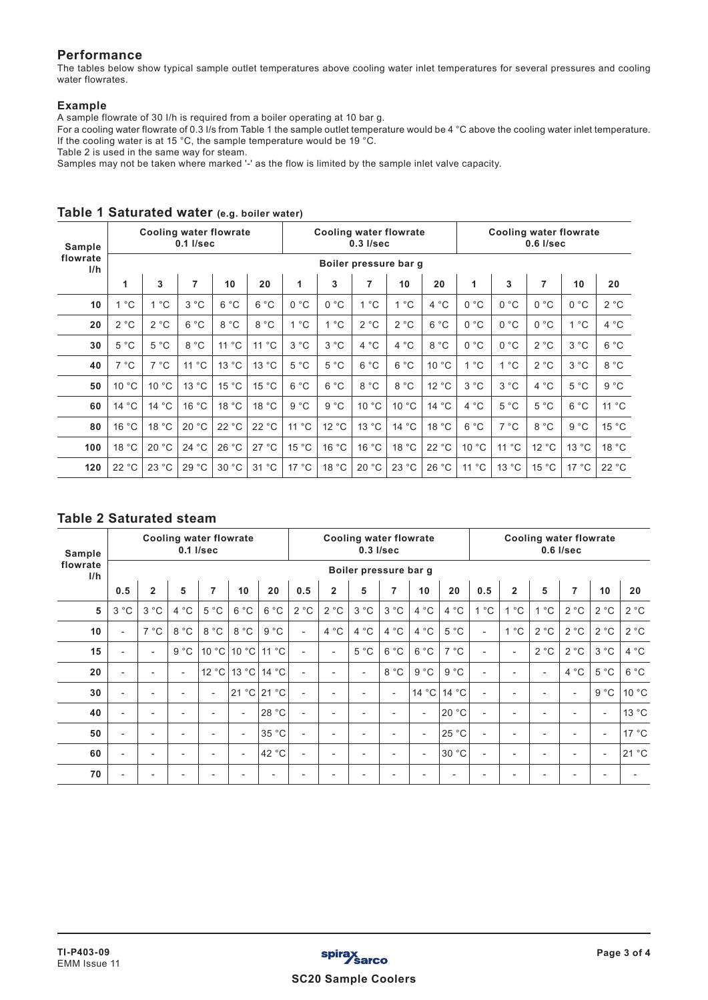# **Performance**

The tables below show typical sample outlet temperatures above cooling water inlet temperatures for several pressures and cooling water flowrates.

## **Example**

A sample flowrate of 30 I/h is required from a boiler operating at 10 bar g.

For a cooling water flowrate of 0.3 I/s from Table 1 the sample outlet temperature would be 4 °C above the cooling water inlet temperature. If the cooling water is at 15 °C, the sample temperature would be 19 °C.

Table 2 is used in the same way for steam.

Samples may not be taken where marked '-' as the flow is limited by the sample inlet valve capacity.

| Sample<br>flowrate<br>I/h |              | <b>Cooling water flowrate</b> | $0.1$ I/sec |                    |       |              |       | $0.3$ $I/sec$     | <b>Cooling water flowrate</b> |       | <b>Cooling water flowrate</b><br>$0.6$ I/sec |               |       |               |              |  |
|---------------------------|--------------|-------------------------------|-------------|--------------------|-------|--------------|-------|-------------------|-------------------------------|-------|----------------------------------------------|---------------|-------|---------------|--------------|--|
|                           |              | Boiler pressure bar g         |             |                    |       |              |       |                   |                               |       |                                              |               |       |               |              |  |
|                           | 1            | 3                             | 7           | 10                 | 20    | $\mathbf{1}$ | 3     | 7                 | 10                            | 20    | 1                                            | 3             | 7     | 10            | 20           |  |
| 10                        | $^{\circ}$ C | $^{\circ}$ C<br>1             | 3 °C        | 6 °C               | 6 °C  | 0 °C         | 0 °C  | $^{\circ}$ C<br>1 | 1 °C                          | 4 °C  | 0 °C                                         | 0 °C          | 0 °C  | 0 °C          | 2 °C         |  |
| 20                        | 2 °C         | 2 °C                          | 6 °C        | 8 °C               | 8 °C  | 1 °C         | 1 °C  | 2 °C              | 2 °C                          | 6 °C  | 0 °C                                         | 0 °C          | 0 °C  | $^{\circ}$ C  | 4 °C         |  |
| 30                        | 5 °C         | 5 °C                          | 8 °C        | $^{\circ}$ C<br>11 | 11 °C | 3 °C         | 3 °C  | $^{\circ}$ C<br>4 | 4 °C                          | 8 °C  | 0 °C                                         | 0 °C          | 2 °C  | 3 °C          | 6 °C         |  |
| 40                        | 7 °C         | $7^{\circ}$ C                 | 11 °C       | 13 °C              | 13 °C | 5 °C         | 5 °C  | $^{\circ}$ C<br>6 | 6 °C                          | 10 °C | 1 °C                                         | 1 °C          | 2 °C  | 3 °C          | 8 °C         |  |
| 50                        | 10 °C        | 10 °C                         | 13 °C       | 15 °C              | 15 °C | 6 °C         | 6 °C  | $^{\circ}$ C<br>8 | 8 °C                          | 12 °C | 3 °C                                         | 3 °C          | 4 °C  | $5^{\circ}$ C | $9^{\circ}C$ |  |
| 60                        | 14 °C        | 14 °C                         | 16 °C       | 18 °C              | 18 °C | 9 °C         | 9 °C  | 10 °C             | 10 °C                         | 14 °C | 4 °C                                         | $5^{\circ}$ C | 5 °C  | 6 °C          | 11 °C        |  |
| 80                        | 16 °C        | 18 °C                         | 20 °C       | 22 °C              | 22 °C | 11 °C        | 12 °C | 13 °C             | 14 °C                         | 18 °C | 6 °C                                         | $7^{\circ}$ C | 8 °C  | 9 °C          | 15 °C        |  |
| 100                       | 18 °C        | 20 °C                         | 24 °C       | 26 °C              | 27 °C | 15 °C        | 16 °C | 16 °C             | 18 °C                         | 22 °C | 10 °C                                        | 11 °C         | 12 °C | 13 °C         | 18 °C        |  |
| 120                       | 22 °C        | 23 °C                         | 29 °C       | 30 °C              | 31 °C | 17 °C        | 18 °C | 20 °C             | 23 °C                         | 26 °C | 11 °C                                        | 13 °C         | 15 °C | 17 °C         | 22 °C        |  |

# **Table 1 Saturated water (e.g. boiler water)**

# **Table 2 Saturated steam**

| Sample<br>flowrate<br>I/h | <b>Cooling water flowrate</b><br>$0.1$ I/sec |                          |      |                |                          |       | <b>Cooling water flowrate</b><br>$0.3$ $I/sec$ |                |                          |                          |                          |       | <b>Cooling water flowrate</b><br>$0.6$ I/sec |                              |                          |                          |                          |       |  |
|---------------------------|----------------------------------------------|--------------------------|------|----------------|--------------------------|-------|------------------------------------------------|----------------|--------------------------|--------------------------|--------------------------|-------|----------------------------------------------|------------------------------|--------------------------|--------------------------|--------------------------|-------|--|
|                           | Boiler pressure bar g                        |                          |      |                |                          |       |                                                |                |                          |                          |                          |       |                                              |                              |                          |                          |                          |       |  |
|                           | 0.5                                          | $\overline{2}$           | 5    | 7              | 10                       | 20    | 0.5                                            | $\overline{2}$ | 5                        | $\overline{7}$           | 10                       | 20    | 0.5                                          | $\overline{2}$               | 5                        | 7                        | 10                       | 20    |  |
| 5                         | 3 °C                                         | 3 °C                     | 4 °C | 5 °C           | 6 °C                     | 6 °C  | 2 °C                                           | 2 °C           | 3 °C                     | 3 °C                     | 4 °C                     | 4 °C  | 1 °C                                         | $^{\circ}$ C<br>$\mathbf{1}$ | $1^{\circ}$ C            | 2 °C                     | 2 °C                     | 2 °C  |  |
| 10                        | $\blacksquare$                               | 7 °C                     | 8 °C | 8 °C           | 8 °C                     | 9 °C  | $\overline{a}$                                 | 4 °C           | 4 °C                     | $^{\circ}$ C<br>4        | 4 °C                     | 5 °C  | $\overline{a}$                               | 1 °C                         | 2 °C                     | 2 °C                     | 2 °C                     | 2 °C  |  |
| 15                        | $\blacksquare$                               | $\blacksquare$           | 9 °C | 10 °C          | 10 °C                    | 11 °C | $\blacksquare$                                 | ٠              | 5 °C                     | 6 °C                     | 6 °C                     | 7 °C  | $\blacksquare$                               | $\overline{\phantom{a}}$     | 2 °C                     | 2 °C                     | 3 °C                     | 4 °C  |  |
| 20                        | $\overline{\phantom{a}}$                     | $\blacksquare$           | ٠    | 12 °C          | 13 °C                    | 14 °C | $\blacksquare$                                 |                | $\overline{a}$           | 8 °C                     | 9 °C                     | 9 °C  | $\blacksquare$                               | $\overline{\phantom{a}}$     | $\overline{\phantom{a}}$ | 4 °C                     | 5 °C                     | 6 °C  |  |
| 30                        | $\overline{\phantom{a}}$                     | $\overline{\phantom{0}}$ |      | $\overline{a}$ | 21 °C                    | 21 °C | $\blacksquare$                                 |                | $\overline{\phantom{a}}$ | $\overline{\phantom{a}}$ | 14 °C                    | 14 °C | $\overline{a}$                               | $\overline{\phantom{0}}$     |                          | $\overline{\phantom{a}}$ | 9 °C                     | 10 °C |  |
| 40                        | $\overline{\phantom{a}}$                     | $\overline{\phantom{0}}$ |      |                | $\overline{\phantom{a}}$ | 28 °C | $\blacksquare$                                 |                | $\overline{\phantom{a}}$ | $\overline{\phantom{a}}$ | $\overline{\phantom{a}}$ | 20 °C | $\overline{a}$                               | $\overline{\phantom{0}}$     | $\overline{\phantom{0}}$ | $\overline{\phantom{0}}$ | $\overline{\phantom{a}}$ | 13 °C |  |
| 50                        | $\overline{\phantom{a}}$                     | $\overline{\phantom{0}}$ |      |                | $\overline{\phantom{a}}$ | 35 °C | $\overline{\phantom{0}}$                       |                | $\overline{\phantom{a}}$ | $\overline{\phantom{a}}$ | $\overline{\phantom{a}}$ | 25 °C | $\overline{a}$                               | $\overline{\phantom{0}}$     | $\overline{\phantom{0}}$ |                          | $\overline{\phantom{a}}$ | 17 °C |  |
| 60                        | $\overline{\phantom{a}}$                     | $\overline{\phantom{0}}$ |      |                | $\overline{\phantom{a}}$ | 42 °C | $\overline{\phantom{0}}$                       |                | $\overline{\phantom{a}}$ | $\overline{\phantom{a}}$ | $\overline{\phantom{a}}$ | 30 °C | $\overline{\phantom{0}}$                     | $\overline{\phantom{0}}$     | $\overline{\phantom{0}}$ |                          | $\overline{\phantom{a}}$ | 21 °C |  |
| 70                        | $\overline{\phantom{0}}$                     |                          |      |                |                          |       |                                                |                |                          | $\overline{\phantom{0}}$ |                          |       |                                              |                              |                          |                          |                          |       |  |